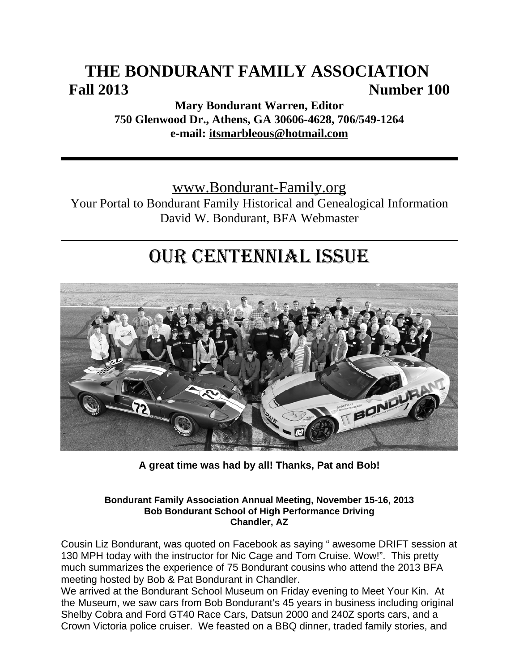# **THE BONDURANT FAMILY ASSOCIATION Fall 2013 Number 100**

**Mary Bondurant Warren, Editor 750 Glenwood Dr., Athens, GA 30606-4628, 706/549-1264 e-mail: itsmarbleous@hotmail.com**

www.Bondurant-Family.org

Your Portal to Bondurant Family Historical and Genealogical Information David W. Bondurant, BFA Webmaster

# OUR CENTENNIAL ISSUE



**A great time was had by all! Thanks, Pat and Bob!**

#### **Bondurant Family Association Annual Meeting, November 15-16, 2013 Bob Bondurant School of High Performance Driving Chandler, AZ**

Cousin Liz Bondurant, was quoted on Facebook as saying " awesome DRIFT session at 130 MPH today with the instructor for Nic Cage and Tom Cruise. Wow!". This pretty much summarizes the experience of 75 Bondurant cousins who attend the 2013 BFA meeting hosted by Bob & Pat Bondurant in Chandler.

We arrived at the Bondurant School Museum on Friday evening to Meet Your Kin. At the Museum, we saw cars from Bob Bondurant's 45 years in business including original Shelby Cobra and Ford GT40 Race Cars, Datsun 2000 and 240Z sports cars, and a Crown Victoria police cruiser. We feasted on a BBQ dinner, traded family stories, and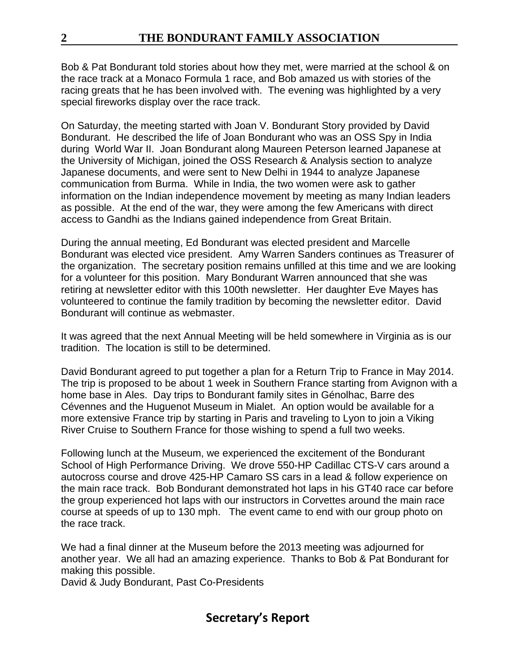Bob & Pat Bondurant told stories about how they met, were married at the school & on the race track at a Monaco Formula 1 race, and Bob amazed us with stories of the racing greats that he has been involved with. The evening was highlighted by a very special fireworks display over the race track.

On Saturday, the meeting started with Joan V. Bondurant Story provided by David Bondurant. He described the life of Joan Bondurant who was an OSS Spy in India during World War II. Joan Bondurant along Maureen Peterson learned Japanese at the University of Michigan, joined the OSS Research & Analysis section to analyze Japanese documents, and were sent to New Delhi in 1944 to analyze Japanese communication from Burma. While in India, the two women were ask to gather information on the Indian independence movement by meeting as many Indian leaders as possible. At the end of the war, they were among the few Americans with direct access to Gandhi as the Indians gained independence from Great Britain.

During the annual meeting, Ed Bondurant was elected president and Marcelle Bondurant was elected vice president. Amy Warren Sanders continues as Treasurer of the organization. The secretary position remains unfilled at this time and we are looking for a volunteer for this position. Mary Bondurant Warren announced that she was retiring at newsletter editor with this 100th newsletter. Her daughter Eve Mayes has volunteered to continue the family tradition by becoming the newsletter editor. David Bondurant will continue as webmaster.

It was agreed that the next Annual Meeting will be held somewhere in Virginia as is our tradition. The location is still to be determined.

David Bondurant agreed to put together a plan for a Return Trip to France in May 2014. The trip is proposed to be about 1 week in Southern France starting from Avignon with a home base in Ales. Day trips to Bondurant family sites in Génolhac, Barre des Cévennes and the Huguenot Museum in Mialet. An option would be available for a more extensive France trip by starting in Paris and traveling to Lyon to join a Viking River Cruise to Southern France for those wishing to spend a full two weeks.

Following lunch at the Museum, we experienced the excitement of the Bondurant School of High Performance Driving. We drove 550-HP Cadillac CTS-V cars around a autocross course and drove 425-HP Camaro SS cars in a lead & follow experience on the main race track. Bob Bondurant demonstrated hot laps in his GT40 race car before the group experienced hot laps with our instructors in Corvettes around the main race course at speeds of up to 130 mph. The event came to end with our group photo on the race track.

We had a final dinner at the Museum before the 2013 meeting was adjourned for another year. We all had an amazing experience. Thanks to Bob & Pat Bondurant for making this possible.

David & Judy Bondurant, Past Co-Presidents

# **Secretary's Report**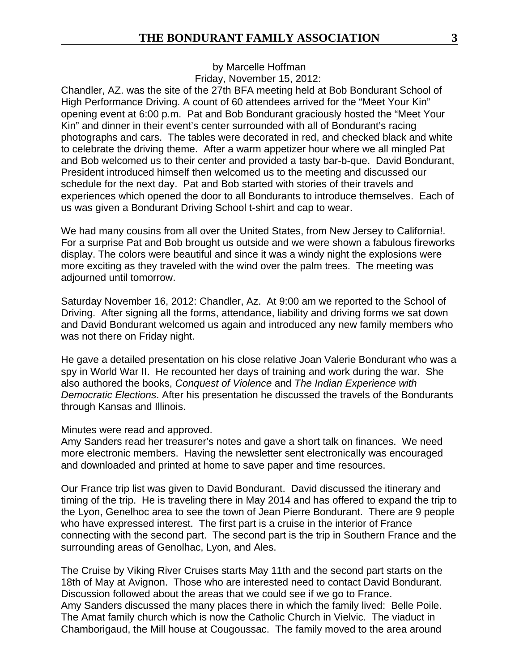by Marcelle Hoffman Friday, November 15, 2012:

Chandler, AZ. was the site of the 27th BFA meeting held at Bob Bondurant School of High Performance Driving. A count of 60 attendees arrived for the "Meet Your Kin" opening event at 6:00 p.m. Pat and Bob Bondurant graciously hosted the "Meet Your Kin" and dinner in their event's center surrounded with all of Bondurant's racing photographs and cars. The tables were decorated in red, and checked black and white to celebrate the driving theme. After a warm appetizer hour where we all mingled Pat and Bob welcomed us to their center and provided a tasty bar-b-que. David Bondurant, President introduced himself then welcomed us to the meeting and discussed our schedule for the next day. Pat and Bob started with stories of their travels and experiences which opened the door to all Bondurants to introduce themselves. Each of us was given a Bondurant Driving School t-shirt and cap to wear.

We had many cousins from all over the United States, from New Jersey to California!. For a surprise Pat and Bob brought us outside and we were shown a fabulous fireworks display. The colors were beautiful and since it was a windy night the explosions were more exciting as they traveled with the wind over the palm trees. The meeting was adjourned until tomorrow.

Saturday November 16, 2012: Chandler, Az. At 9:00 am we reported to the School of Driving. After signing all the forms, attendance, liability and driving forms we sat down and David Bondurant welcomed us again and introduced any new family members who was not there on Friday night.

He gave a detailed presentation on his close relative Joan Valerie Bondurant who was a spy in World War II. He recounted her days of training and work during the war. She also authored the books, *Conquest of Violence* and *The Indian Experience with Democratic Elections*. After his presentation he discussed the travels of the Bondurants through Kansas and Illinois.

#### Minutes were read and approved.

Amy Sanders read her treasurer's notes and gave a short talk on finances. We need more electronic members. Having the newsletter sent electronically was encouraged and downloaded and printed at home to save paper and time resources.

Our France trip list was given to David Bondurant. David discussed the itinerary and timing of the trip. He is traveling there in May 2014 and has offered to expand the trip to the Lyon, Genelhoc area to see the town of Jean Pierre Bondurant. There are 9 people who have expressed interest. The first part is a cruise in the interior of France connecting with the second part. The second part is the trip in Southern France and the surrounding areas of Genolhac, Lyon, and Ales.

The Cruise by Viking River Cruises starts May 11th and the second part starts on the 18th of May at Avignon. Those who are interested need to contact David Bondurant. Discussion followed about the areas that we could see if we go to France. Amy Sanders discussed the many places there in which the family lived: Belle Poile. The Amat family church which is now the Catholic Church in Vielvic. The viaduct in Chamborigaud, the Mill house at Cougoussac. The family moved to the area around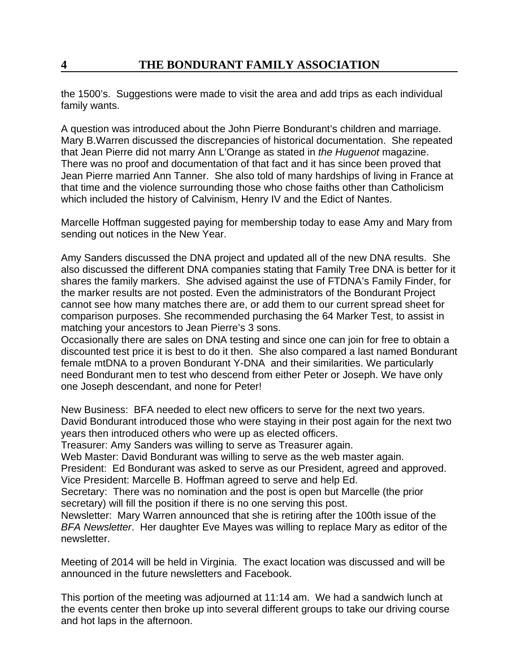the 1500's. Suggestions were made to visit the area and add trips as each individual family wants.

A question was introduced about the John Pierre Bondurant's children and marriage. Mary B.Warren discussed the discrepancies of historical documentation. She repeated that Jean Pierre did not marry Ann L'Orange as stated in *the Huguenot* magazine. There was no proof and documentation of that fact and it has since been proved that Jean Pierre married Ann Tanner. She also told of many hardships of living in France at that time and the violence surrounding those who chose faiths other than Catholicism which included the history of Calvinism, Henry IV and the Edict of Nantes.

Marcelle Hoffman suggested paying for membership today to ease Amy and Mary from sending out notices in the New Year.

Amy Sanders discussed the DNA project and updated all of the new DNA results. She also discussed the different DNA companies stating that Family Tree DNA is better for it shares the family markers. She advised against the use of FTDNA's Family Finder, for the marker results are not posted. Even the administrators of the Bondurant Project cannot see how many matches there are, or add them to our current spread sheet for comparison purposes. She recommended purchasing the 64 Marker Test, to assist in matching your ancestors to Jean Pierre's 3 sons.

Occasionally there are sales on DNA testing and since one can join for free to obtain a discounted test price it is best to do it then. She also compared a last named Bondurant female mtDNA to a proven Bondurant Y-DNA and their similarities. We particularly need Bondurant men to test who descend from either Peter or Joseph. We have only one Joseph descendant, and none for Peter!

New Business: BFA needed to elect new officers to serve for the next two years. David Bondurant introduced those who were staying in their post again for the next two years then introduced others who were up as elected officers.

Treasurer: Amy Sanders was willing to serve as Treasurer again.

Web Master: David Bondurant was willing to serve as the web master again.

President: Ed Bondurant was asked to serve as our President, agreed and approved. Vice President: Marcelle B. Hoffman agreed to serve and help Ed.

Secretary: There was no nomination and the post is open but Marcelle (the prior secretary) will fill the position if there is no one serving this post.

Newsletter: Mary Warren announced that she is retiring after the 100th issue of the *BFA Newsletter*. Her daughter Eve Mayes was willing to replace Mary as editor of the newsletter.

Meeting of 2014 will be held in Virginia. The exact location was discussed and will be announced in the future newsletters and Facebook.

This portion of the meeting was adjourned at 11:14 am. We had a sandwich lunch at the events center then broke up into several different groups to take our driving course and hot laps in the afternoon.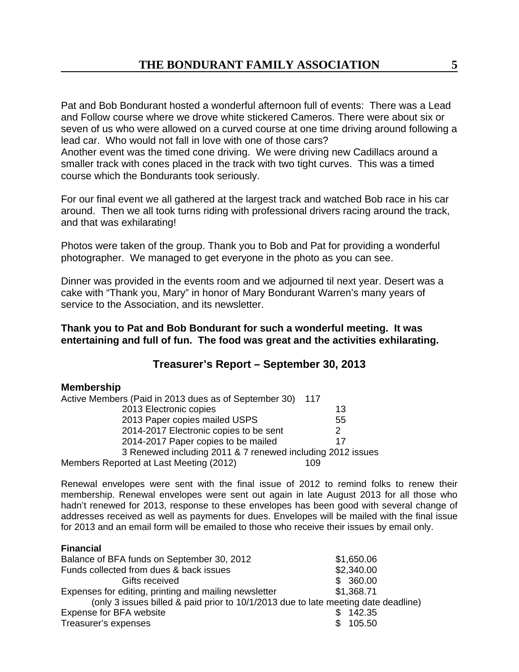Pat and Bob Bondurant hosted a wonderful afternoon full of events: There was a Lead and Follow course where we drove white stickered Cameros. There were about six or seven of us who were allowed on a curved course at one time driving around following a lead car. Who would not fall in love with one of those cars? Another event was the timed cone driving. We were driving new Cadillacs around a smaller track with cones placed in the track with two tight curves. This was a timed course which the Bondurants took seriously.

For our final event we all gathered at the largest track and watched Bob race in his car around. Then we all took turns riding with professional drivers racing around the track, and that was exhilarating!

Photos were taken of the group. Thank you to Bob and Pat for providing a wonderful photographer. We managed to get everyone in the photo as you can see.

Dinner was provided in the events room and we adjourned til next year. Desert was a cake with "Thank you, Mary" in honor of Mary Bondurant Warren's many years of service to the Association, and its newsletter.

**Thank you to Pat and Bob Bondurant for such a wonderful meeting. It was entertaining and full of fun. The food was great and the activities exhilarating.**

## **Treasurer's Report – September 30, 2013**

#### **Membership**

| Active Members (Paid in 2013 dues as of September 30)      | -117 |
|------------------------------------------------------------|------|
| 2013 Electronic copies                                     | 13   |
| 2013 Paper copies mailed USPS                              | 55   |
| 2014-2017 Electronic copies to be sent                     |      |
| 2014-2017 Paper copies to be mailed                        | 17   |
| 3 Renewed including 2011 & 7 renewed including 2012 issues |      |
| Members Reported at Last Meeting (2012)                    | 109  |

Renewal envelopes were sent with the final issue of 2012 to remind folks to renew their membership. Renewal envelopes were sent out again in late August 2013 for all those who hadn't renewed for 2013, response to these envelopes has been good with several change of addresses received as well as payments for dues. Envelopes will be mailed with the final issue for 2013 and an email form will be emailed to those who receive their issues by email only.

#### **Financial**

| Balance of BFA funds on September 30, 2012                                         | \$1,650.06 |
|------------------------------------------------------------------------------------|------------|
| Funds collected from dues & back issues                                            | \$2,340.00 |
| Gifts received                                                                     | \$360.00   |
| Expenses for editing, printing and mailing newsletter                              | \$1,368.71 |
| (only 3 issues billed & paid prior to 10/1/2013 due to late meeting date deadline) |            |
| Expense for BFA website                                                            | 142.35     |
| Treasurer's expenses                                                               | \$105.50   |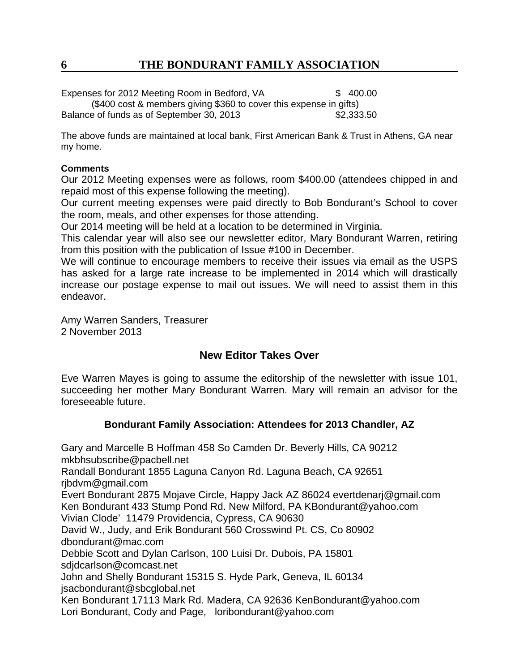Expenses for 2012 Meeting Room in Bedford, VA  $$ 400.00$ (\$400 cost & members giving \$360 to cover this expense in gifts) Balance of funds as of September 30, 2013 **\$2,333.50** 

The above funds are maintained at local bank, First American Bank & Trust in Athens, GA near my home.

#### **Comments**

Our 2012 Meeting expenses were as follows, room \$400.00 (attendees chipped in and repaid most of this expense following the meeting).

Our current meeting expenses were paid directly to Bob Bondurant's School to cover the room, meals, and other expenses for those attending.

Our 2014 meeting will be held at a location to be determined in Virginia.

This calendar year will also see our newsletter editor, Mary Bondurant Warren, retiring from this position with the publication of Issue #100 in December.

We will continue to encourage members to receive their issues via email as the USPS has asked for a large rate increase to be implemented in 2014 which will drastically increase our postage expense to mail out issues. We will need to assist them in this endeavor.

Amy Warren Sanders, Treasurer 2 November 2013

# **New Editor Takes Over**

Eve Warren Mayes is going to assume the editorship of the newsletter with issue 101, succeeding her mother Mary Bondurant Warren. Mary will remain an advisor for the foreseeable future.

## **Bondurant Family Association: Attendees for 2013 Chandler, AZ**

Gary and Marcelle B Hoffman 458 So Camden Dr. Beverly Hills, CA 90212 mkbhsubscribe@pacbell.net Randall Bondurant 1855 Laguna Canyon Rd. Laguna Beach, CA 92651 rjbdvm@gmail.com Evert Bondurant 2875 Mojave Circle, Happy Jack AZ 86024 evertdenarj@gmail.com Ken Bondurant 433 Stump Pond Rd. New Milford, PA KBondurant@yahoo.com Vivian Clode' 11479 Providencia, Cypress, CA 90630 David W., Judy, and Erik Bondurant 560 Crosswind Pt. CS, Co 80902 dbondurant@mac.com Debbie Scott and Dylan Carlson, 100 Luisi Dr. Dubois, PA 15801 sdjdcarlson@comcast.net John and Shelly Bondurant 15315 S. Hyde Park, Geneva, IL 60134 jsacbondurant@sbcglobal.net Ken Bondurant 17113 Mark Rd. Madera, CA 92636 KenBondurant@yahoo.com Lori Bondurant, Cody and Page, loribondurant@yahoo.com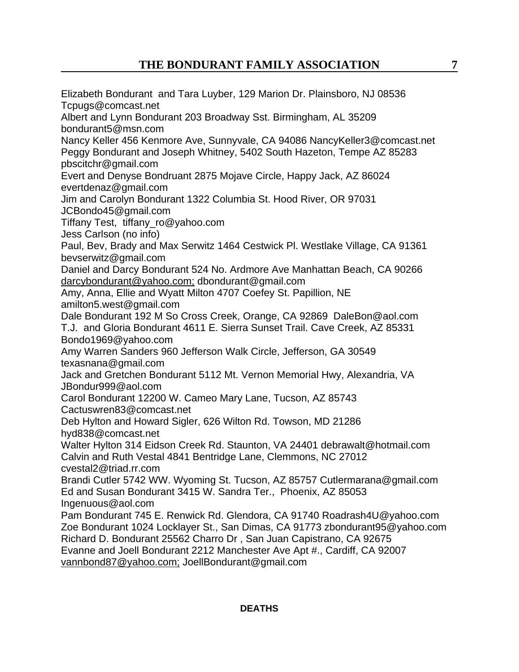Elizabeth Bondurant and Tara Luyber, 129 Marion Dr. Plainsboro, NJ 08536 Tcpugs@comcast.net Albert and Lynn Bondurant 203 Broadway Sst. Birmingham, AL 35209 bondurant5@msn.com Nancy Keller 456 Kenmore Ave, Sunnyvale, CA 94086 NancyKeller3@comcast.net Peggy Bondurant and Joseph Whitney, 5402 South Hazeton, Tempe AZ 85283 pbscitchr@gmail.com Evert and Denyse Bondruant 2875 Mojave Circle, Happy Jack, AZ 86024 evertdenaz@gmail.com Jim and Carolyn Bondurant 1322 Columbia St. Hood River, OR 97031 JCBondo45@gmail.com Tiffany Test, tiffany\_ro@yahoo.com Jess Carlson (no info) Paul, Bev, Brady and Max Serwitz 1464 Cestwick Pl. Westlake Village, CA 91361 bevserwitz@gmail.com Daniel and Darcy Bondurant 524 No. Ardmore Ave Manhattan Beach, CA 90266 darcybondurant@yahoo.com; dbondurant@gmail.com Amy, Anna, Ellie and Wyatt Milton 4707 Coefey St. Papillion, NE amilton5.west@gmail.com Dale Bondurant 192 M So Cross Creek, Orange, CA 92869 DaleBon@aol.com T.J. and Gloria Bondurant 4611 E. Sierra Sunset Trail. Cave Creek, AZ 85331 Bondo1969@yahoo.com Amy Warren Sanders 960 Jefferson Walk Circle, Jefferson, GA 30549 texasnana@gmail.com Jack and Gretchen Bondurant 5112 Mt. Vernon Memorial Hwy, Alexandria, VA JBondur999@aol.com Carol Bondurant 12200 W. Cameo Mary Lane, Tucson, AZ 85743 Cactuswren83@comcast.net Deb Hylton and Howard Sigler, 626 Wilton Rd. Towson, MD 21286 hyd838@comcast.net Walter Hylton 314 Eidson Creek Rd. Staunton, VA 24401 debrawalt@hotmail.com Calvin and Ruth Vestal 4841 Bentridge Lane, Clemmons, NC 27012 cvestal2@triad.rr.com Brandi Cutler 5742 WW. Wyoming St. Tucson, AZ 85757 Cutlermarana@gmail.com Ed and Susan Bondurant 3415 W. Sandra Ter., Phoenix, AZ 85053 Ingenuous@aol.com Pam Bondurant 745 E. Renwick Rd. Glendora, CA 91740 Roadrash4U@yahoo.com Zoe Bondurant 1024 Locklayer St., San Dimas, CA 91773 zbondurant95@yahoo.com Richard D. Bondurant 25562 Charro Dr , San Juan Capistrano, CA 92675 Evanne and Joell Bondurant 2212 Manchester Ave Apt #., Cardiff, CA 92007 vannbond87@yahoo.com; JoellBondurant@gmail.com

#### **DEATHS**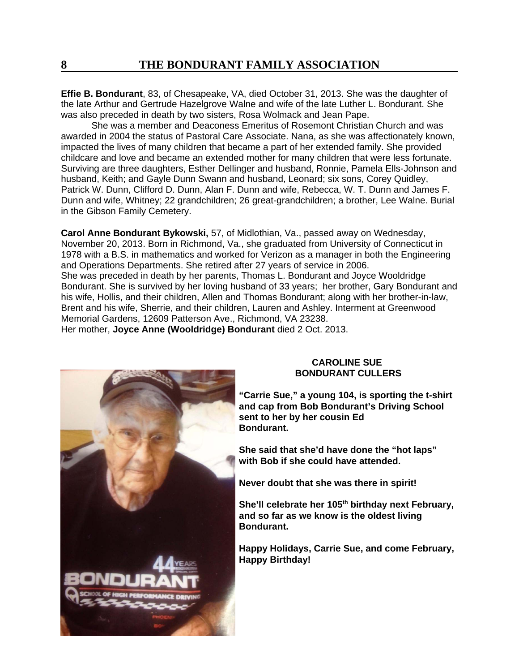**Effie B. Bondurant**, 83, of Chesapeake, VA, died October 31, 2013. She was the daughter of the late Arthur and Gertrude Hazelgrove Walne and wife of the late Luther L. Bondurant. She was also preceded in death by two sisters, Rosa Wolmack and Jean Pape.

She was a member and Deaconess Emeritus of Rosemont Christian Church and was awarded in 2004 the status of Pastoral Care Associate. Nana, as she was affectionately known, impacted the lives of many children that became a part of her extended family. She provided childcare and love and became an extended mother for many children that were less fortunate. Surviving are three daughters, Esther Dellinger and husband, Ronnie, Pamela Ells-Johnson and husband, Keith; and Gayle Dunn Swann and husband, Leonard; six sons, Corey Quidley, Patrick W. Dunn, Clifford D. Dunn, Alan F. Dunn and wife, Rebecca, W. T. Dunn and James F. Dunn and wife, Whitney; 22 grandchildren; 26 great-grandchildren; a brother, Lee Walne. Burial in the Gibson Family Cemetery.

**Carol Anne Bondurant Bykowski,** 57, of Midlothian, Va., passed away on Wednesday, November 20, 2013. Born in Richmond, Va., she graduated from University of Connecticut in 1978 with a B.S. in mathematics and worked for Verizon as a manager in both the Engineering and Operations Departments. She retired after 27 years of service in 2006. She was preceded in death by her parents, Thomas L. Bondurant and Joyce Wooldridge Bondurant. She is survived by her loving husband of 33 years; her brother, Gary Bondurant and his wife, Hollis, and their children, Allen and Thomas Bondurant; along with her brother-in-law, Brent and his wife, Sherrie, and their children, Lauren and Ashley. Interment at Greenwood Memorial Gardens, 12609 Patterson Ave., Richmond, VA 23238.

Her mother, **Joyce Anne (Wooldridge) Bondurant** died 2 Oct. 2013.



#### **CAROLINE SUE BONDURANT CULLERS**

**"Carrie Sue," a young 104, is sporting the t-shirt and cap from Bob Bondurant's Driving School sent to her by her cousin Ed Bondurant.**

**She said that she'd have done the "hot laps" with Bob if she could have attended.**

**Never doubt that she was there in spirit!**

She'll celebrate her 105<sup>th</sup> birthday next February, **and so far as we know is the oldest living Bondurant.**

**Happy Holidays, Carrie Sue, and come February, Happy Birthday!**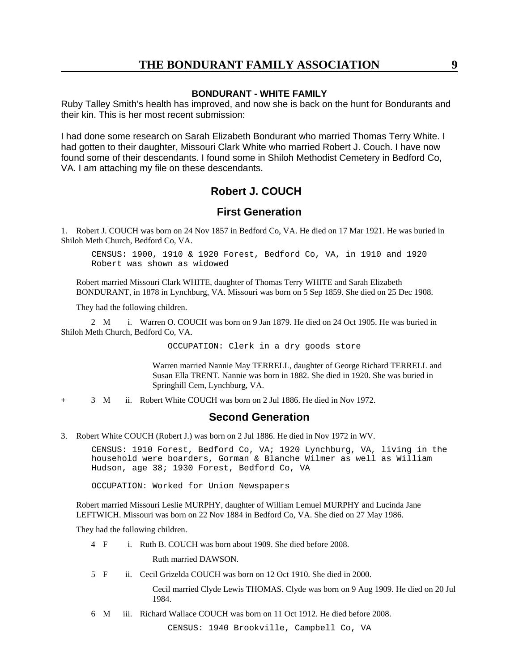#### **BONDURANT - WHITE FAMILY**

Ruby Talley Smith's health has improved, and now she is back on the hunt for Bondurants and their kin. This is her most recent submission:

I had done some research on Sarah Elizabeth Bondurant who married Thomas Terry White. I had gotten to their daughter, Missouri Clark White who married Robert J. Couch. I have now found some of their descendants. I found some in Shiloh Methodist Cemetery in Bedford Co, VA. I am attaching my file on these descendants.

## **Robert J. COUCH**

## **First Generation**

1. Robert J. COUCH was born on 24 Nov 1857 in Bedford Co, VA. He died on 17 Mar 1921. He was buried in Shiloh Meth Church, Bedford Co, VA.

CENSUS: 1900, 1910 & 1920 Forest, Bedford Co, VA, in 1910 and 1920 Robert was shown as widowed

Robert married Missouri Clark WHITE, daughter of Thomas Terry WHITE and Sarah Elizabeth BONDURANT, in 1878 in Lynchburg, VA. Missouri was born on 5 Sep 1859. She died on 25 Dec 1908.

They had the following children.

2 M i. Warren O. COUCH was born on 9 Jan 1879. He died on 24 Oct 1905. He was buried in Shiloh Meth Church, Bedford Co, VA.

OCCUPATION: Clerk in a dry goods store

Warren married Nannie May TERRELL, daughter of George Richard TERRELL and Susan Ella TRENT. Nannie was born in 1882. She died in 1920. She was buried in Springhill Cem, Lynchburg, VA.

+ 3 M ii. Robert White COUCH was born on 2 Jul 1886. He died in Nov 1972.

#### **Second Generation**

3. Robert White COUCH (Robert J.) was born on 2 Jul 1886. He died in Nov 1972 in WV.

CENSUS: 1910 Forest, Bedford Co, VA; 1920 Lynchburg, VA, living in the household were boarders, Gorman & Blanche Wilmer as well as William Hudson, age 38; 1930 Forest, Bedford Co, VA

OCCUPATION: Worked for Union Newspapers

Robert married Missouri Leslie MURPHY, daughter of William Lemuel MURPHY and Lucinda Jane LEFTWICH. Missouri was born on 22 Nov 1884 in Bedford Co, VA. She died on 27 May 1986.

They had the following children.

4 F i. Ruth B. COUCH was born about 1909. She died before 2008.

Ruth married DAWSON.

5 F ii. Cecil Grizelda COUCH was born on 12 Oct 1910. She died in 2000.

Cecil married Clyde Lewis THOMAS. Clyde was born on 9 Aug 1909. He died on 20 Jul 1984.

6 M iii. Richard Wallace COUCH was born on 11 Oct 1912. He died before 2008.

CENSUS: 1940 Brookville, Campbell Co, VA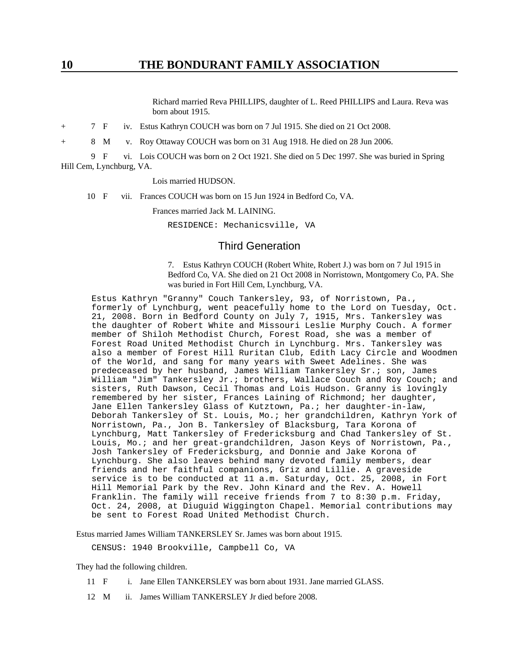Richard married Reva PHILLIPS, daughter of L. Reed PHILLIPS and Laura. Reva was born about 1915.

+ 7 F iv. Estus Kathryn COUCH was born on 7 Jul 1915. She died on 21 Oct 2008.

+ 8 M v. Roy Ottaway COUCH was born on 31 Aug 1918. He died on 28 Jun 2006.

9 F vi. Lois COUCH was born on 2 Oct 1921. She died on 5 Dec 1997. She was buried in Spring Hill Cem, Lynchburg, VA.

#### Lois married HUDSON.

10 F vii. Frances COUCH was born on 15 Jun 1924 in Bedford Co, VA.

Frances married Jack M. LAINING.

RESIDENCE: Mechanicsville, VA

#### Third Generation

7. Estus Kathryn COUCH (Robert White, Robert J.) was born on 7 Jul 1915 in Bedford Co, VA. She died on 21 Oct 2008 in Norristown, Montgomery Co, PA. She was buried in Fort Hill Cem, Lynchburg, VA.

Estus Kathryn "Granny" Couch Tankersley, 93, of Norristown, Pa., formerly of Lynchburg, went peacefully home to the Lord on Tuesday, Oct. 21, 2008. Born in Bedford County on July 7, 1915, Mrs. Tankersley was the daughter of Robert White and Missouri Leslie Murphy Couch. A former member of Shiloh Methodist Church, Forest Road, she was a member of Forest Road United Methodist Church in Lynchburg. Mrs. Tankersley was also a member of Forest Hill Ruritan Club, Edith Lacy Circle and Woodmen of the World, and sang for many years with Sweet Adelines. She was predeceased by her husband, James William Tankersley Sr.; son, James William "Jim" Tankersley Jr.; brothers, Wallace Couch and Roy Couch; and sisters, Ruth Dawson, Cecil Thomas and Lois Hudson. Granny is lovingly remembered by her sister, Frances Laining of Richmond; her daughter, Jane Ellen Tankersley Glass of Kutztown, Pa.; her daughter-in-law, Deborah Tankersley of St. Louis, Mo.; her grandchildren, Kathryn York of Norristown, Pa., Jon B. Tankersley of Blacksburg, Tara Korona of Lynchburg, Matt Tankersley of Fredericksburg and Chad Tankersley of St. Louis, Mo.; and her great-grandchildren, Jason Keys of Norristown, Pa., Josh Tankersley of Fredericksburg, and Donnie and Jake Korona of Lynchburg. She also leaves behind many devoted family members, dear friends and her faithful companions, Griz and Lillie. A graveside service is to be conducted at 11 a.m. Saturday, Oct. 25, 2008, in Fort Hill Memorial Park by the Rev. John Kinard and the Rev. A. Howell Franklin. The family will receive friends from 7 to 8:30 p.m. Friday, Oct. 24, 2008, at Diuguid Wiggington Chapel. Memorial contributions may be sent to Forest Road United Methodist Church.

Estus married James William TANKERSLEY Sr. James was born about 1915.

CENSUS: 1940 Brookville, Campbell Co, VA

They had the following children.

- 11 F i. Jane Ellen TANKERSLEY was born about 1931. Jane married GLASS.
- 12 M ii. James William TANKERSLEY Jr died before 2008.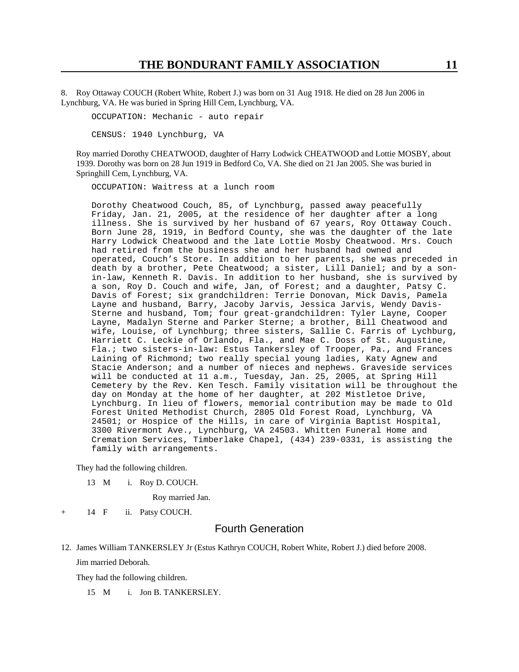8. Roy Ottaway COUCH (Robert White, Robert J.) was born on 31 Aug 1918. He died on 28 Jun 2006 in Lynchburg, VA. He was buried in Spring Hill Cem, Lynchburg, VA.

OCCUPATION: Mechanic - auto repair

CENSUS: 1940 Lynchburg, VA

Roy married Dorothy CHEATWOOD, daughter of Harry Lodwick CHEATWOOD and Lottie MOSBY, about 1939. Dorothy was born on 28 Jun 1919 in Bedford Co, VA. She died on 21 Jan 2005. She was buried in Springhill Cem, Lynchburg, VA.

OCCUPATION: Waitress at a lunch room

Dorothy Cheatwood Couch, 85, of Lynchburg, passed away peacefully Friday, Jan. 21, 2005, at the residence of her daughter after a long illness. She is survived by her husband of 67 years, Roy Ottaway Couch. Born June 28, 1919, in Bedford County, she was the daughter of the late Harry Lodwick Cheatwood and the late Lottie Mosby Cheatwood. Mrs. Couch had retired from the business she and her husband had owned and operated, Couch's Store. In addition to her parents, she was preceded in death by a brother, Pete Cheatwood; a sister, Lill Daniel; and by a sonin-law, Kenneth R. Davis. In addition to her husband, she is survived by a son, Roy D. Couch and wife, Jan, of Forest; and a daughter, Patsy C. Davis of Forest; six grandchildren: Terrie Donovan, Mick Davis, Pamela Layne and husband, Barry, Jacoby Jarvis, Jessica Jarvis, Wendy Davis-Sterne and husband, Tom; four great-grandchildren: Tyler Layne, Cooper Layne, Madalyn Sterne and Parker Sterne; a brother, Bill Cheatwood and wife, Louise, of Lynchburg; three sisters, Sallie C. Farris of Lychburg, Harriett C. Leckie of Orlando, Fla., and Mae C. Doss of St. Augustine, Fla.; two sisters-in-law: Estus Tankersley of Trooper, Pa., and Frances Laining of Richmond; two really special young ladies, Katy Agnew and Stacie Anderson; and a number of nieces and nephews. Graveside services will be conducted at 11 a.m., Tuesday, Jan. 25, 2005, at Spring Hill Cemetery by the Rev. Ken Tesch. Family visitation will be throughout the day on Monday at the home of her daughter, at 202 Mistletoe Drive, Lynchburg. In lieu of flowers, memorial contribution may be made to Old Forest United Methodist Church, 2805 Old Forest Road, Lynchburg, VA 24501; or Hospice of the Hills, in care of Virginia Baptist Hospital, 3300 Rivermont Ave., Lynchburg, VA 24503. Whitten Funeral Home and Cremation Services, Timberlake Chapel, (434) 239-0331, is assisting the family with arrangements.

They had the following children.

13 M i. Roy D. COUCH.

Roy married Jan.

+ 14 F ii. Patsy COUCH.

## Fourth Generation

12. James William TANKERSLEY Jr (Estus Kathryn COUCH, Robert White, Robert J.) died before 2008. Jim married Deborah.

They had the following children.

15 M i. Jon B. TANKERSLEY.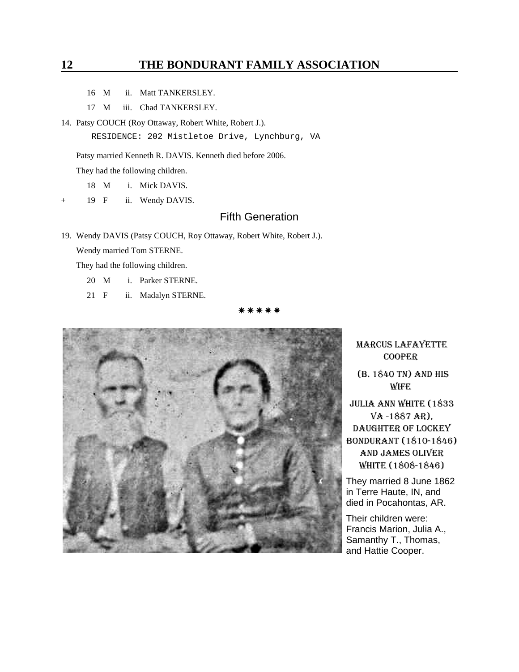- 16 M ii. Matt TANKERSLEY.
- 17 M iii. Chad TANKERSLEY.
- 14. Patsy COUCH (Roy Ottaway, Robert White, Robert J.).

RESIDENCE: 202 Mistletoe Drive, Lynchburg, VA

Patsy married Kenneth R. DAVIS. Kenneth died before 2006.

They had the following children.

18 M i. Mick DAVIS.

19 F ii. Wendy DAVIS.

## Fifth Generation

19. Wendy DAVIS (Patsy COUCH, Roy Ottaway, Robert White, Robert J.). Wendy married Tom STERNE.

They had the following children.

- 20 M i. Parker STERNE.
- 21 F ii. Madalyn STERNE.

\* \* \* \* \*



MARCUS LAFAYETTE COOPER

 (B. 1840 TN) AND HIS WIFE

JULIA ANN WHITE (1833 VA -1887 AR), DAUGHTER OF LOCKEY BONDURANT (1810-1846) AND JAMES OLIVER WHITE (1808-1846)

They married 8 June 1862 in Terre Haute, IN, and died in Pocahontas, AR.

Their children were: Francis Marion, Julia A., Samanthy T., Thomas, and Hattie Cooper.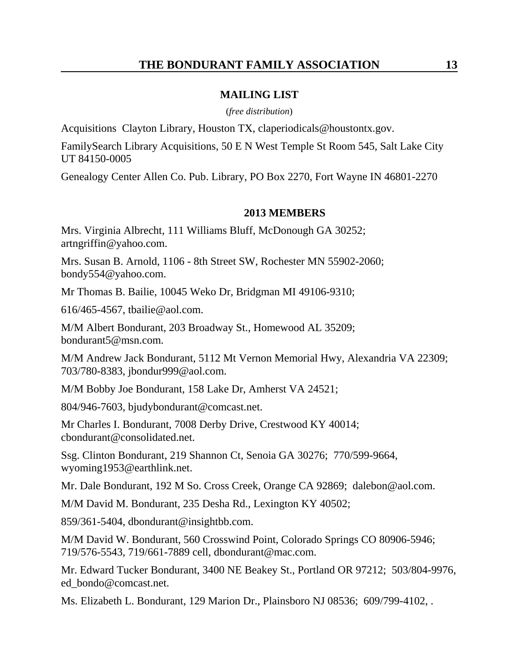## **MAILING LIST**

(*free distribution*)

Acquisitions Clayton Library, Houston TX, claperiodicals@houstontx.gov.

FamilySearch Library Acquisitions, 50 E N West Temple St Room 545, Salt Lake City UT 84150-0005

Genealogy Center Allen Co. Pub. Library, PO Box 2270, Fort Wayne IN 46801-2270

### **2013 MEMBERS**

Mrs. Virginia Albrecht, 111 Williams Bluff, McDonough GA 30252; artngriffin@yahoo.com.

Mrs. Susan B. Arnold, 1106 - 8th Street SW, Rochester MN 55902-2060; bondy554@yahoo.com.

Mr Thomas B. Bailie, 10045 Weko Dr, Bridgman MI 49106-9310;

616/465-4567, tbailie@aol.com.

M/M Albert Bondurant, 203 Broadway St., Homewood AL 35209; bondurant5@msn.com.

M/M Andrew Jack Bondurant, 5112 Mt Vernon Memorial Hwy, Alexandria VA 22309; 703/780-8383, jbondur999@aol.com.

M/M Bobby Joe Bondurant, 158 Lake Dr, Amherst VA 24521;

804/946-7603, bjudybondurant@comcast.net.

Mr Charles I. Bondurant, 7008 Derby Drive, Crestwood KY 40014; cbondurant@consolidated.net.

Ssg. Clinton Bondurant, 219 Shannon Ct, Senoia GA 30276; 770/599-9664, wyoming1953@earthlink.net.

Mr. Dale Bondurant, 192 M So. Cross Creek, Orange CA 92869; dalebon@aol.com.

M/M David M. Bondurant, 235 Desha Rd., Lexington KY 40502;

859/361-5404, dbondurant@insightbb.com.

M/M David W. Bondurant, 560 Crosswind Point, Colorado Springs CO 80906-5946; 719/576-5543, 719/661-7889 cell, dbondurant@mac.com.

Mr. Edward Tucker Bondurant, 3400 NE Beakey St., Portland OR 97212; 503/804-9976, ed\_bondo@comcast.net.

Ms. Elizabeth L. Bondurant, 129 Marion Dr., Plainsboro NJ 08536; 609/799-4102, .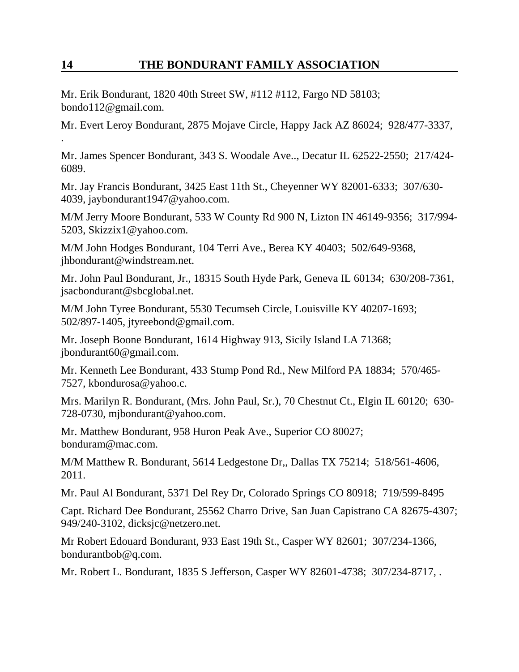Mr. Erik Bondurant, 1820 40th Street SW, #112 #112, Fargo ND 58103; bondo112@gmail.com.

.

Mr. Evert Leroy Bondurant, 2875 Mojave Circle, Happy Jack AZ 86024; 928/477-3337,

Mr. James Spencer Bondurant, 343 S. Woodale Ave.., Decatur IL 62522-2550; 217/424- 6089.

Mr. Jay Francis Bondurant, 3425 East 11th St., Cheyenner WY 82001-6333; 307/630- 4039, jaybondurant1947@yahoo.com.

M/M Jerry Moore Bondurant, 533 W County Rd 900 N, Lizton IN 46149-9356; 317/994- 5203, Skizzix1@yahoo.com.

M/M John Hodges Bondurant, 104 Terri Ave., Berea KY 40403; 502/649-9368, jhbondurant@windstream.net.

Mr. John Paul Bondurant, Jr., 18315 South Hyde Park, Geneva IL 60134; 630/208-7361, jsacbondurant@sbcglobal.net.

M/M John Tyree Bondurant, 5530 Tecumseh Circle, Louisville KY 40207-1693; 502/897-1405, jtyreebond@gmail.com.

Mr. Joseph Boone Bondurant, 1614 Highway 913, Sicily Island LA 71368; jbondurant60@gmail.com.

Mr. Kenneth Lee Bondurant, 433 Stump Pond Rd., New Milford PA 18834; 570/465- 7527, kbondurosa@yahoo.c.

Mrs. Marilyn R. Bondurant, (Mrs. John Paul, Sr.), 70 Chestnut Ct., Elgin IL 60120; 630- 728-0730, mjbondurant@yahoo.com.

Mr. Matthew Bondurant, 958 Huron Peak Ave., Superior CO 80027; bonduram@mac.com.

M/M Matthew R. Bondurant, 5614 Ledgestone Dr,, Dallas TX 75214; 518/561-4606, 2011.

Mr. Paul Al Bondurant, 5371 Del Rey Dr, Colorado Springs CO 80918; 719/599-8495

Capt. Richard Dee Bondurant, 25562 Charro Drive, San Juan Capistrano CA 82675-4307; 949/240-3102, dicksjc@netzero.net.

Mr Robert Edouard Bondurant, 933 East 19th St., Casper WY 82601; 307/234-1366, bondurantbob@q.com.

Mr. Robert L. Bondurant, 1835 S Jefferson, Casper WY 82601-4738; 307/234-8717, .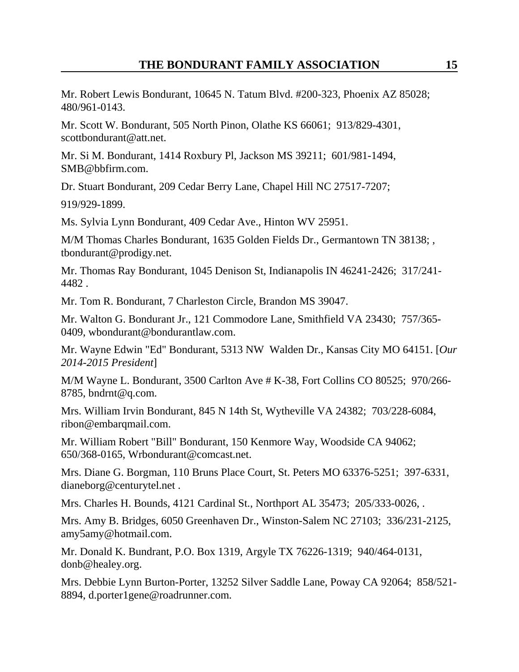Mr. Robert Lewis Bondurant, 10645 N. Tatum Blvd. #200-323, Phoenix AZ 85028; 480/961-0143.

Mr. Scott W. Bondurant, 505 North Pinon, Olathe KS 66061; 913/829-4301, scottbondurant@att.net.

Mr. Si M. Bondurant, 1414 Roxbury Pl, Jackson MS 39211; 601/981-1494, SMB@bbfirm.com.

Dr. Stuart Bondurant, 209 Cedar Berry Lane, Chapel Hill NC 27517-7207;

919/929-1899.

Ms. Sylvia Lynn Bondurant, 409 Cedar Ave., Hinton WV 25951.

M/M Thomas Charles Bondurant, 1635 Golden Fields Dr., Germantown TN 38138; , tbondurant@prodigy.net.

Mr. Thomas Ray Bondurant, 1045 Denison St, Indianapolis IN 46241-2426; 317/241- 4482 .

Mr. Tom R. Bondurant, 7 Charleston Circle, Brandon MS 39047.

Mr. Walton G. Bondurant Jr., 121 Commodore Lane, Smithfield VA 23430; 757/365- 0409, wbondurant@bondurantlaw.com.

Mr. Wayne Edwin "Ed" Bondurant, 5313 NW Walden Dr., Kansas City MO 64151. [*Our 2014-2015 President*]

M/M Wayne L. Bondurant, 3500 Carlton Ave # K-38, Fort Collins CO 80525; 970/266- 8785, bndrnt@q.com.

Mrs. William Irvin Bondurant, 845 N 14th St, Wytheville VA 24382; 703/228-6084, ribon@embarqmail.com.

Mr. William Robert "Bill" Bondurant, 150 Kenmore Way, Woodside CA 94062; 650/368-0165, Wrbondurant@comcast.net.

Mrs. Diane G. Borgman, 110 Bruns Place Court, St. Peters MO 63376-5251; 397-6331, dianeborg@centurytel.net .

Mrs. Charles H. Bounds, 4121 Cardinal St., Northport AL 35473; 205/333-0026, .

Mrs. Amy B. Bridges, 6050 Greenhaven Dr., Winston-Salem NC 27103; 336/231-2125, amy5amy@hotmail.com.

Mr. Donald K. Bundrant, P.O. Box 1319, Argyle TX 76226-1319; 940/464-0131, donb@healey.org.

Mrs. Debbie Lynn Burton-Porter, 13252 Silver Saddle Lane, Poway CA 92064; 858/521- 8894, d.porter1gene@roadrunner.com.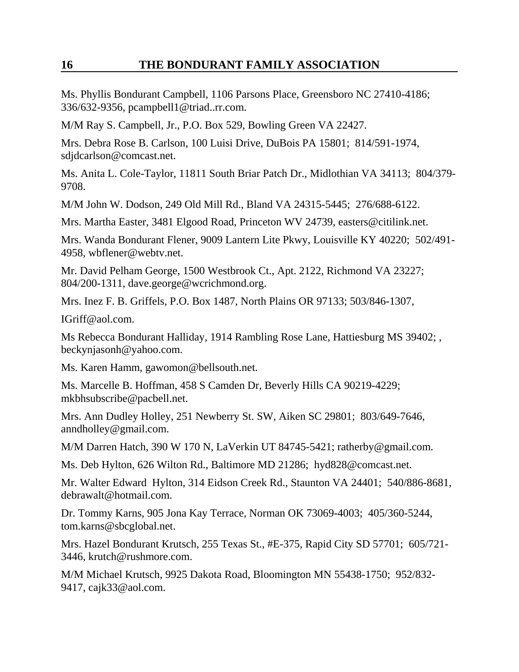Ms. Phyllis Bondurant Campbell, 1106 Parsons Place, Greensboro NC 27410-4186; 336/632-9356, pcampbell1@triad..rr.com.

M/M Ray S. Campbell, Jr., P.O. Box 529, Bowling Green VA 22427.

Mrs. Debra Rose B. Carlson, 100 Luisi Drive, DuBois PA 15801; 814/591-1974, sdjdcarlson@comcast.net.

Ms. Anita L. Cole-Taylor, 11811 South Briar Patch Dr., Midlothian VA 34113; 804/379- 9708.

M/M John W. Dodson, 249 Old Mill Rd., Bland VA 24315-5445; 276/688-6122.

Mrs. Martha Easter, 3481 Elgood Road, Princeton WV 24739, easters@citilink.net.

Mrs. Wanda Bondurant Flener, 9009 Lantern Lite Pkwy, Louisville KY 40220; 502/491- 4958, wbflener@webtv.net.

Mr. David Pelham George, 1500 Westbrook Ct., Apt. 2122, Richmond VA 23227; 804/200-1311, dave.george@wcrichmond.org.

Mrs. Inez F. B. Griffels, P.O. Box 1487, North Plains OR 97133; 503/846-1307,

IGriff@aol.com.

Ms Rebecca Bondurant Halliday, 1914 Rambling Rose Lane, Hattiesburg MS 39402; , beckynjasonh@yahoo.com.

Ms. Karen Hamm, gawomon@bellsouth.net.

Ms. Marcelle B. Hoffman, 458 S Camden Dr, Beverly Hills CA 90219-4229; mkbhsubscribe@pacbell.net.

Mrs. Ann Dudley Holley, 251 Newberry St. SW, Aiken SC 29801; 803/649-7646, anndholley@gmail.com.

M/M Darren Hatch, 390 W 170 N, LaVerkin UT 84745-5421; ratherby@gmail.com.

Ms. Deb Hylton, 626 Wilton Rd., Baltimore MD 21286; hyd828@comcast.net.

Mr. Walter Edward Hylton, 314 Eidson Creek Rd., Staunton VA 24401; 540/886-8681, debrawalt@hotmail.com.

Dr. Tommy Karns, 905 Jona Kay Terrace, Norman OK 73069-4003; 405/360-5244, tom.karns@sbcglobal.net.

Mrs. Hazel Bondurant Krutsch, 255 Texas St., #E-375, Rapid City SD 57701; 605/721- 3446, krutch@rushmore.com.

M/M Michael Krutsch, 9925 Dakota Road, Bloomington MN 55438-1750; 952/832- 9417, cajk33@aol.com.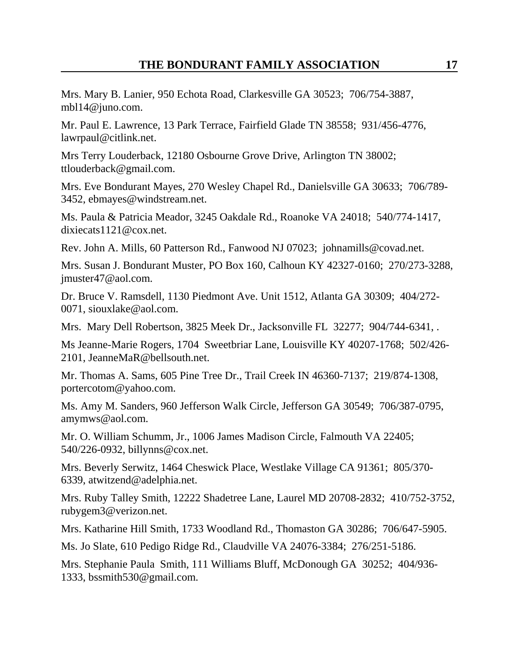Mrs. Mary B. Lanier, 950 Echota Road, Clarkesville GA 30523; 706/754-3887, mbl14@juno.com.

Mr. Paul E. Lawrence, 13 Park Terrace, Fairfield Glade TN 38558; 931/456-4776, lawrpaul@citlink.net.

Mrs Terry Louderback, 12180 Osbourne Grove Drive, Arlington TN 38002; ttlouderback@gmail.com.

Mrs. Eve Bondurant Mayes, 270 Wesley Chapel Rd., Danielsville GA 30633; 706/789- 3452, ebmayes@windstream.net.

Ms. Paula & Patricia Meador, 3245 Oakdale Rd., Roanoke VA 24018; 540/774-1417, dixiecats1121@cox.net.

Rev. John A. Mills, 60 Patterson Rd., Fanwood NJ 07023; johnamills@covad.net.

Mrs. Susan J. Bondurant Muster, PO Box 160, Calhoun KY 42327-0160; 270/273-3288, jmuster47@aol.com.

Dr. Bruce V. Ramsdell, 1130 Piedmont Ave. Unit 1512, Atlanta GA 30309; 404/272- 0071, siouxlake@aol.com.

Mrs. Mary Dell Robertson, 3825 Meek Dr., Jacksonville FL 32277; 904/744-6341, .

Ms Jeanne-Marie Rogers, 1704 Sweetbriar Lane, Louisville KY 40207-1768; 502/426- 2101, JeanneMaR@bellsouth.net.

Mr. Thomas A. Sams, 605 Pine Tree Dr., Trail Creek IN 46360-7137; 219/874-1308, portercotom@yahoo.com.

Ms. Amy M. Sanders, 960 Jefferson Walk Circle, Jefferson GA 30549; 706/387-0795, amymws@aol.com.

Mr. O. William Schumm, Jr., 1006 James Madison Circle, Falmouth VA 22405; 540/226-0932, billynns@cox.net.

Mrs. Beverly Serwitz, 1464 Cheswick Place, Westlake Village CA 91361; 805/370- 6339, atwitzend@adelphia.net.

Mrs. Ruby Talley Smith, 12222 Shadetree Lane, Laurel MD 20708-2832; 410/752-3752, rubygem3@verizon.net.

Mrs. Katharine Hill Smith, 1733 Woodland Rd., Thomaston GA 30286; 706/647-5905.

Ms. Jo Slate, 610 Pedigo Ridge Rd., Claudville VA 24076-3384; 276/251-5186.

Mrs. Stephanie Paula Smith, 111 Williams Bluff, McDonough GA 30252; 404/936- 1333, bssmith530@gmail.com.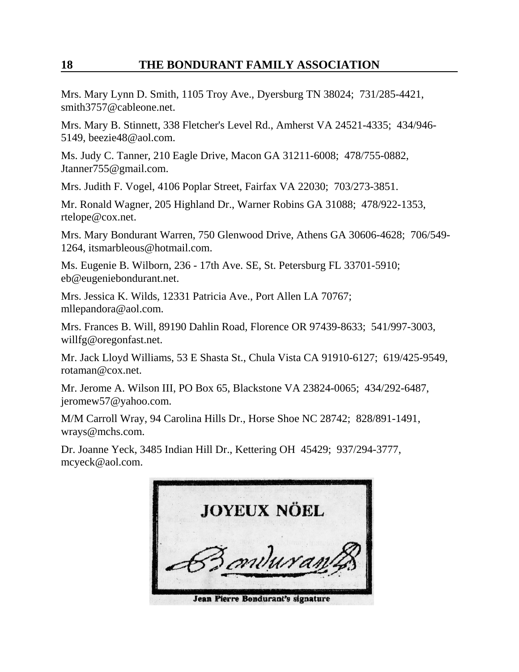Mrs. Mary Lynn D. Smith, 1105 Troy Ave., Dyersburg TN 38024; 731/285-4421, smith3757@cableone.net.

Mrs. Mary B. Stinnett, 338 Fletcher's Level Rd., Amherst VA 24521-4335; 434/946- 5149, beezie48@aol.com.

Ms. Judy C. Tanner, 210 Eagle Drive, Macon GA 31211-6008; 478/755-0882, Jtanner755@gmail.com.

Mrs. Judith F. Vogel, 4106 Poplar Street, Fairfax VA 22030; 703/273-3851.

Mr. Ronald Wagner, 205 Highland Dr., Warner Robins GA 31088; 478/922-1353, rtelope@cox.net.

Mrs. Mary Bondurant Warren, 750 Glenwood Drive, Athens GA 30606-4628; 706/549- 1264, itsmarbleous@hotmail.com.

Ms. Eugenie B. Wilborn, 236 - 17th Ave. SE, St. Petersburg FL 33701-5910; eb@eugeniebondurant.net.

Mrs. Jessica K. Wilds, 12331 Patricia Ave., Port Allen LA 70767; mllepandora@aol.com.

Mrs. Frances B. Will, 89190 Dahlin Road, Florence OR 97439-8633; 541/997-3003, willfg@oregonfast.net.

Mr. Jack Lloyd Williams, 53 E Shasta St., Chula Vista CA 91910-6127; 619/425-9549, rotaman@cox.net.

Mr. Jerome A. Wilson III, PO Box 65, Blackstone VA 23824-0065; 434/292-6487, jeromew57@yahoo.com.

M/M Carroll Wray, 94 Carolina Hills Dr., Horse Shoe NC 28742; 828/891-1491, wrays@mchs.com.

Dr. Joanne Yeck, 3485 Indian Hill Dr., Kettering OH 45429; 937/294-3777, mcyeck@aol.com.

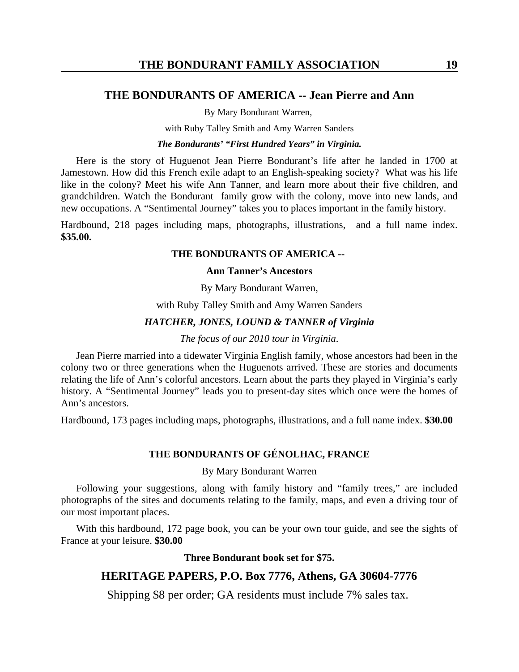## **THE BONDURANTS OF AMERICA -- Jean Pierre and Ann**

By Mary Bondurant Warren,

with Ruby Talley Smith and Amy Warren Sanders

#### *The Bondurants' "First Hundred Years" in Virginia.*

 Here is the story of Huguenot Jean Pierre Bondurant's life after he landed in 1700 at Jamestown. How did this French exile adapt to an English-speaking society? What was his life like in the colony? Meet his wife Ann Tanner, and learn more about their five children, and grandchildren. Watch the Bondurant family grow with the colony, move into new lands, and new occupations. A "Sentimental Journey" takes you to places important in the family history.

Hardbound, 218 pages including maps, photographs, illustrations, and a full name index. **\$35.00.** 

#### **THE BONDURANTS OF AMERICA --**

#### **Ann Tanner's Ancestors**

By Mary Bondurant Warren,

with Ruby Talley Smith and Amy Warren Sanders

#### *HATCHER, JONES, LOUND & TANNER of Virginia*

#### *The focus of our 2010 tour in Virginia*.

Jean Pierre married into a tidewater Virginia English family, whose ancestors had been in the colony two or three generations when the Huguenots arrived. These are stories and documents relating the life of Ann's colorful ancestors. Learn about the parts they played in Virginia's early history. A "Sentimental Journey" leads you to present-day sites which once were the homes of Ann's ancestors.

Hardbound, 173 pages including maps, photographs, illustrations, and a full name index. **\$30.00**

## **THE BONDURANTS OF GÉNOLHAC, FRANCE**

#### By Mary Bondurant Warren

Following your suggestions, along with family history and "family trees," are included photographs of the sites and documents relating to the family, maps, and even a driving tour of our most important places.

With this hardbound, 172 page book, you can be your own tour guide, and see the sights of France at your leisure. **\$30.00** 

#### **Three Bondurant book set for \$75.**

# **HERITAGE PAPERS, P.O. Box 7776, Athens, GA 30604-7776**

Shipping \$8 per order; GA residents must include 7% sales tax.